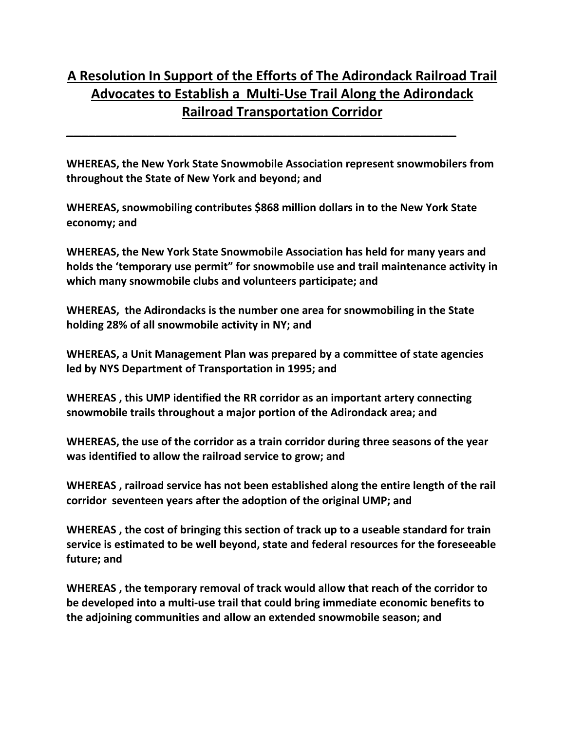## **A Resolution In Support of the Efforts of The Adirondack Railroad Trail Advocates to Establish a Multi‐Use Trail Along the Adirondack Railroad Transportation Corridor**

**WHEREAS, the New York State Snowmobile Association represent snowmobilers from throughout the State of New York and beyond; and** 

**\_\_\_\_\_\_\_\_\_\_\_\_\_\_\_\_\_\_\_\_\_\_\_\_\_\_\_\_\_\_\_\_\_\_\_\_\_\_\_\_\_\_\_\_\_\_\_\_\_\_\_\_\_** 

**WHEREAS, snowmobiling contributes \$868 million dollars in to the New York State economy; and** 

**WHEREAS, the New York State Snowmobile Association has held for many years and holds the 'temporary use permit" for snowmobile use and trail maintenance activity in which many snowmobile clubs and volunteers participate; and** 

**WHEREAS, the Adirondacks is the number one area for snowmobiling in the State holding 28% of all snowmobile activity in NY; and** 

**WHEREAS, a Unit Management Plan was prepared by a committee of state agencies led by NYS Department of Transportation in 1995; and** 

**WHEREAS , this UMP identified the RR corridor as an important artery connecting snowmobile trails throughout a major portion of the Adirondack area; and** 

**WHEREAS, the use of the corridor as a train corridor during three seasons of the year was identified to allow the railroad service to grow; and** 

**WHEREAS , railroad service has not been established along the entire length of the rail corridor seventeen years after the adoption of the original UMP; and**

**WHEREAS , the cost of bringing this section of track up to a useable standard for train service is estimated to be well beyond, state and federal resources for the foreseeable future; and** 

**WHEREAS , the temporary removal of track would allow that reach of the corridor to be developed into a multi‐use trail that could bring immediate economic benefits to the adjoining communities and allow an extended snowmobile season; and**